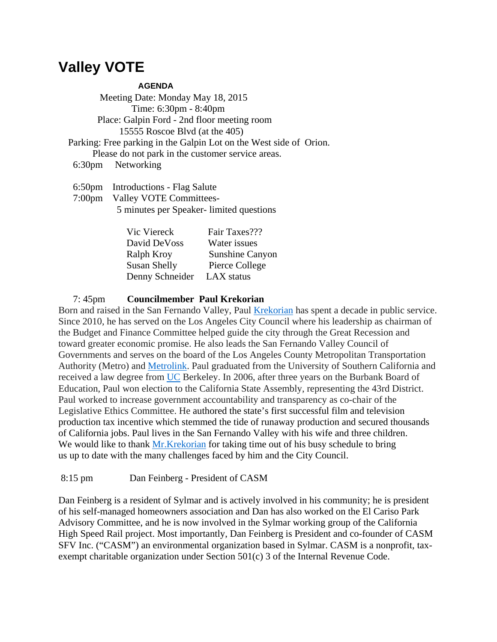## **Valley VOTE**

## **AGENDA**

 Meeting Date: Monday May 18, 2015 Time: 6:30pm - 8:40pm Place: Galpin Ford - 2nd floor meeting room 15555 Roscoe Blvd (at the 405) Parking: Free parking in the Galpin Lot on the West side of Orion. Please do not park in the customer service areas. 6:30pm Networking

 6:50pm Introductions - Flag Salute 7:00pm Valley VOTE Committees- 5 minutes per Speaker- limited questions

| Vic Viereck         | Fair Taxes???   |
|---------------------|-----------------|
| David DeVoss        | Water issues    |
| Ralph Kroy          | Sunshine Canyon |
| <b>Susan Shelly</b> | Pierce College  |
| Denny Schneider     | LAX status      |

7: 45pm **Councilmember Paul Krekorian** 

Born and raised in the San Fernando Valley, Paul [Krekorian](https://mail.aol.com/webmail-std/en-us/suite) has spent a decade in public service. Since 2010, he has served on the Los Angeles City Council where his leadership as chairman of the Budget and Finance Committee helped guide the city through the Great Recession and toward greater economic promise. He also leads the San Fernando Valley Council of Governments and serves on the board of the Los Angeles County Metropolitan Transportation Authority (Metro) and [Metrolink.](https://mail.aol.com/webmail-std/en-us/suite) Paul graduated from the University of Southern California and received a law degree from [UC](https://mail.aol.com/webmail-std/en-us/suite) Berkeley. In 2006, after three years on the Burbank Board of Education, Paul won election to the California State Assembly, representing the 43rd District. Paul worked to increase government accountability and transparency as co-chair of the Legislative Ethics Committee. He authored the state's first successful film and television production tax incentive which stemmed the tide of runaway production and secured thousands of California jobs. Paul lives in the San Fernando Valley with his wife and three children. We would like to thank [Mr.Krekorian](https://mail.aol.com/webmail-std/en-us/suite) for taking time out of his busy schedule to bring us up to date with the many challenges faced by him and the City Council.

8:15 pm Dan Feinberg - President of CASM

Dan Feinberg is a resident of Sylmar and is actively involved in his community; he is president of his self-managed homeowners association and Dan has also worked on the El Cariso Park Advisory Committee, and he is now involved in the Sylmar working group of the California High Speed Rail project. Most importantly, Dan Feinberg is President and co-founder of CASM SFV Inc. ("CASM") an environmental organization based in Sylmar. CASM is a nonprofit, taxexempt charitable organization under Section 501(c) 3 of the Internal Revenue Code.